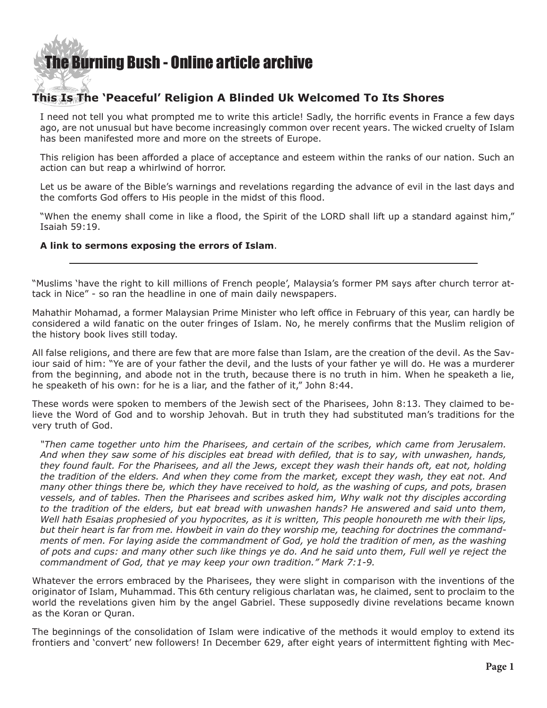### [The Burning Bush - Online article archive](http://www.ivanfoster.net)

### **This Is The 'Peaceful' Religion A Blinded Uk Welcomed To Its Shores**

I need not tell you what prompted me to write this article! Sadly, the horrific events in France a few days ago, are not unusual but have become increasingly common over recent years. The wicked cruelty of Islam has been manifested more and more on the streets of Europe.

This religion has been afforded a place of acceptance and esteem within the ranks of our nation. Such an action can but reap a whirlwind of horror.

Let us be aware of the Bible's warnings and revelations regarding the advance of evil in the last days and the comforts God offers to His people in the midst of this flood.

"When the enemy shall come in like a flood, the Spirit of the LORD shall lift up a standard against him," Isaiah 59:19.

### **[A link to sermons exposing the errors of Islam](http://www.ivanfoster.net/islam-in-the-light-of-scripture/
)**.

"Muslims 'have the right to kill millions of French people', Malaysia's former PM says after church terror attack in Nice" - so ran the headline in one of main daily newspapers.

Mahathir Mohamad, a former Malaysian Prime Minister who left office in February of this year, can hardly be considered a wild fanatic on the outer fringes of Islam. No, he merely confirms that the Muslim religion of the history book lives still today.

All false religions, and there are few that are more false than Islam, are the creation of the devil. As the Saviour said of him: "Ye are of your father the devil, and the lusts of your father ye will do. He was a murderer from the beginning, and abode not in the truth, because there is no truth in him. When he speaketh a lie, he speaketh of his own: for he is a liar, and the father of it," John 8:44.

These words were spoken to members of the Jewish sect of the Pharisees, John 8:13. They claimed to believe the Word of God and to worship Jehovah. But in truth they had substituted man's traditions for the very truth of God.

*"Then came together unto him the Pharisees, and certain of the scribes, which came from Jerusalem. And when they saw some of his disciples eat bread with defiled, that is to say, with unwashen, hands, they found fault. For the Pharisees, and all the Jews, except they wash their hands oft, eat not, holding the tradition of the elders. And when they come from the market, except they wash, they eat not. And many other things there be, which they have received to hold, as the washing of cups, and pots, brasen vessels, and of tables. Then the Pharisees and scribes asked him, Why walk not thy disciples according to the tradition of the elders, but eat bread with unwashen hands? He answered and said unto them, Well hath Esaias prophesied of you hypocrites, as it is written, This people honoureth me with their lips, but their heart is far from me. Howbeit in vain do they worship me, teaching for doctrines the commandments of men. For laying aside the commandment of God, ye hold the tradition of men, as the washing of pots and cups: and many other such like things ye do. And he said unto them, Full well ye reject the commandment of God, that ye may keep your own tradition." Mark 7:1-9.*

Whatever the errors embraced by the Pharisees, they were slight in comparison with the inventions of the originator of Islam, Muhammad. This 6th century religious charlatan was, he claimed, sent to proclaim to the world the revelations given him by the angel Gabriel. These supposedly divine revelations became known as the Koran or Quran.

The beginnings of the consolidation of Islam were indicative of the methods it would employ to extend its frontiers and 'convert' new followers! In December 629, after eight years of intermittent fighting with Mec-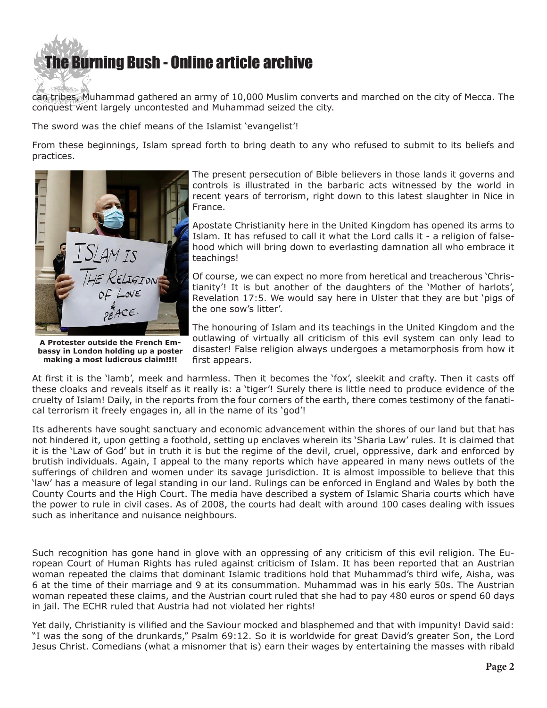# **e Burning Bush - Online article archive**

can tribes, Muhammad gathered an army of 10,000 Muslim converts and marched on the city of Mecca. The conquest went largely uncontested and Muhammad seized the city.

The sword was the chief means of the Islamist 'evangelist'!

From these beginnings, Islam spread forth to bring death to any who refused to submit to its beliefs and practices.



**A Protester outside the French Embassy in London holding up a poster making a most ludicrous claim!!!!**

The present persecution of Bible believers in those lands it governs and controls is illustrated in the barbaric acts witnessed by the world in recent years of terrorism, right down to this latest slaughter in Nice in France.

Apostate Christianity here in the United Kingdom has opened its arms to Islam. It has refused to call it what the Lord calls it - a religion of falsehood which will bring down to everlasting damnation all who embrace it teachings!

Of course, we can expect no more from heretical and treacherous 'Christianity'! It is but another of the daughters of the 'Mother of harlots', Revelation 17:5. We would say here in Ulster that they are but 'pigs of the one sow's litter'.

The honouring of Islam and its teachings in the United Kingdom and the outlawing of virtually all criticism of this evil system can only lead to disaster! False religion always undergoes a metamorphosis from how it first appears.

At first it is the 'lamb', meek and harmless. Then it becomes the 'fox', sleekit and crafty. Then it casts off these cloaks and reveals itself as it really is: a 'tiger'! Surely there is little need to produce evidence of the cruelty of Islam! Daily, in the reports from the four corners of the earth, there comes testimony of the fanatical terrorism it freely engages in, all in the name of its 'god'!

Its adherents have sought sanctuary and economic advancement within the shores of our land but that has not hindered it, upon getting a foothold, setting up enclaves wherein its 'Sharia Law' rules. It is claimed that it is the 'Law of God' but in truth it is but the regime of the devil, cruel, oppressive, dark and enforced by brutish individuals. Again, I appeal to the many reports which have appeared in many news outlets of the sufferings of children and women under its savage jurisdiction. It is almost impossible to believe that this 'law' has a measure of legal standing in our land. Rulings can be enforced in England and Wales by both the County Courts and the High Court. The media have described a system of Islamic Sharia courts which have the power to rule in civil cases. As of 2008, the courts had dealt with around 100 cases dealing with issues such as inheritance and nuisance neighbours.

Such recognition has gone hand in glove with an oppressing of any criticism of this evil religion. The European Court of Human Rights has ruled against criticism of Islam. It has been reported that an Austrian woman repeated the claims that dominant Islamic traditions hold that Muhammad's third wife, Aisha, was 6 at the time of their marriage and 9 at its consummation. Muhammad was in his early 50s. The Austrian woman repeated these claims, and the Austrian court ruled that she had to pay 480 euros or spend 60 days in jail. The ECHR ruled that Austria had not violated her rights!

Yet daily, Christianity is vilified and the Saviour mocked and blasphemed and that with impunity! David said: "I was the song of the drunkards," Psalm 69:12. So it is worldwide for great David's greater Son, the Lord Jesus Christ. Comedians (what a misnomer that is) earn their wages by entertaining the masses with ribald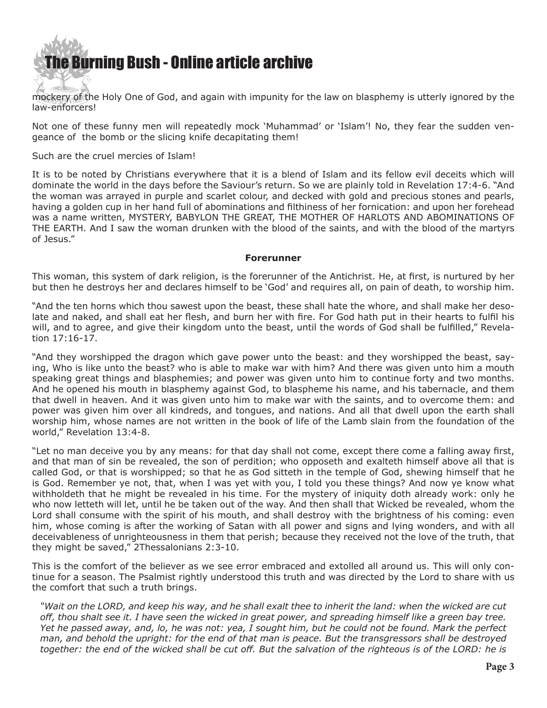

mockery of the Holy One of God, and again with impunity for the law on blasphemy is utterly ignored by the law-enforcers!

Not one of these funny men will repeatedly mock 'Muhammad' or 'Islam'! No, they fear the sudden vengeance of the bomb or the slicing knife decapitating them!

### Such are the cruel mercies of Islam!

It is to be noted by Christians everywhere that it is a blend of Islam and its fellow evil deceits which will dominate the world in the days before the Saviour's return. So we are plainly told in Revelation 17:4-6. "And the woman was arrayed in purple and scarlet colour, and decked with gold and precious stones and pearls, having a golden cup in her hand full of abominations and filthiness of her fornication: and upon her forehead was a name written, MYSTERY, BABYLON THE GREAT, THE MOTHER OF HARLOTS AND ABOMINATIONS OF THE EARTH. And I saw the woman drunken with the blood of the saints, and with the blood of the martyrs of Jesus."

#### **Forerunner**

This woman, this system of dark religion, is the forerunner of the Antichrist. He, at first, is nurtured by her but then he destroys her and declares himself to be 'God' and requires all, on pain of death, to worship him.

"And the ten horns which thou sawest upon the beast, these shall hate the whore, and shall make her desolate and naked, and shall eat her flesh, and burn her with fire. For God hath put in their hearts to fulfil his will, and to agree, and give their kingdom unto the beast, until the words of God shall be fulfilled," Revelation 17:16-17.

"And they worshipped the dragon which gave power unto the beast: and they worshipped the beast, saying, Who is like unto the beast? who is able to make war with him? And there was given unto him a mouth speaking great things and blasphemies; and power was given unto him to continue forty and two months. And he opened his mouth in blasphemy against God, to blaspheme his name, and his tabernacle, and them that dwell in heaven. And it was given unto him to make war with the saints, and to overcome them: and power was given him over all kindreds, and tongues, and nations. And all that dwell upon the earth shall worship him, whose names are not written in the book of life of the Lamb slain from the foundation of the world," Revelation 13:4-8.

"Let no man deceive you by any means: for that day shall not come, except there come a falling away first, and that man of sin be revealed, the son of perdition; who opposeth and exalteth himself above all that is called God, or that is worshipped; so that he as God sitteth in the temple of God, shewing himself that he is God. Remember ye not, that, when I was yet with you, I told you these things? And now ye know what withholdeth that he might be revealed in his time. For the mystery of iniquity doth already work: only he who now letteth will let, until he be taken out of the way. And then shall that Wicked be revealed, whom the Lord shall consume with the spirit of his mouth, and shall destroy with the brightness of his coming: even him, whose coming is after the working of Satan with all power and signs and lying wonders, and with all deceivableness of unrighteousness in them that perish; because they received not the love of the truth, that they might be saved," 2Thessalonians 2:3-10.

This is the comfort of the believer as we see error embraced and extolled all around us. This will only continue for a season. The Psalmist rightly understood this truth and was directed by the Lord to share with us the comfort that such a truth brings.

*"Wait on the LORD, and keep his way, and he shall exalt thee to inherit the land: when the wicked are cut off, thou shalt see it. I have seen the wicked in great power, and spreading himself like a green bay tree. Yet he passed away, and, lo, he was not: yea, I sought him, but he could not be found. Mark the perfect man, and behold the upright: for the end of that man is peace. But the transgressors shall be destroyed together: the end of the wicked shall be cut off. But the salvation of the righteous is of the LORD: he is*